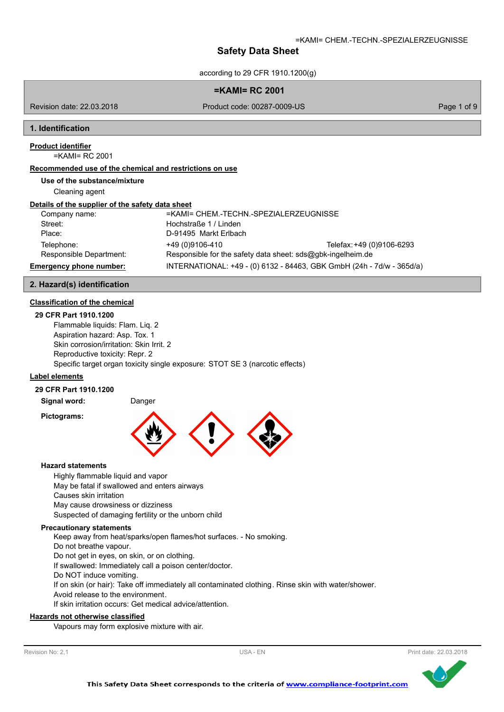according to 29 CFR 1910.1200(g)

#### **=KAMI= RC 2001**

Revision date: 22.03.2018

Product code: 00287-0009-US Page 1 of 9

#### **1. Identification**

# **Product identifier**

=KAMI= RC 2001

# **Recommended use of the chemical and restrictions on use**

**Use of the substance/mixture**

Cleaning agent

#### **Details of the supplier of the safety data sheet**

| Company name:           | =KAMI= CHEM.-TECHN.-SPEZIALERZEUGNISSE                      |                                                                       |
|-------------------------|-------------------------------------------------------------|-----------------------------------------------------------------------|
| Street:                 | Hochstraße 1 / Linden                                       |                                                                       |
| Place:                  | D-91495 Markt Erlbach                                       |                                                                       |
| Telephone:              | +49 (0)9106-410                                             | Telefax: +49 (0)9106-6293                                             |
| Responsible Department: | Responsible for the safety data sheet: sds@gbk-ingelheim.de |                                                                       |
| Emergency phone number: |                                                             | INTERNATIONAL: +49 - (0) 6132 - 84463, GBK GmbH (24h - 7d/w - 365d/a) |

### **2. Hazard(s) identification**

### **Classification of the chemical**

#### **29 CFR Part 1910.1200**

Flammable liquids: Flam. Liq. 2 Aspiration hazard: Asp. Tox. 1 Skin corrosion/irritation: Skin Irrit. 2 Reproductive toxicity: Repr. 2 Specific target organ toxicity single exposure: STOT SE 3 (narcotic effects)

# **Label elements**

### **29 CFR Part 1910.1200**

**Signal word:** Danger

**Pictograms:**



#### **Hazard statements**

Highly flammable liquid and vapor May be fatal if swallowed and enters airways Causes skin irritation May cause drowsiness or dizziness Suspected of damaging fertility or the unborn child

#### **Precautionary statements**

Keep away from heat/sparks/open flames/hot surfaces. - No smoking. Do not breathe vapour. Do not get in eyes, on skin, or on clothing. If swallowed: Immediately call a poison center/doctor. Do NOT induce vomiting. If on skin (or hair): Take off immediately all contaminated clothing. Rinse skin with water/shower. Avoid release to the environment. If skin irritation occurs: Get medical advice/attention.

#### **Hazards not otherwise classified**

Vapours may form explosive mixture with air.

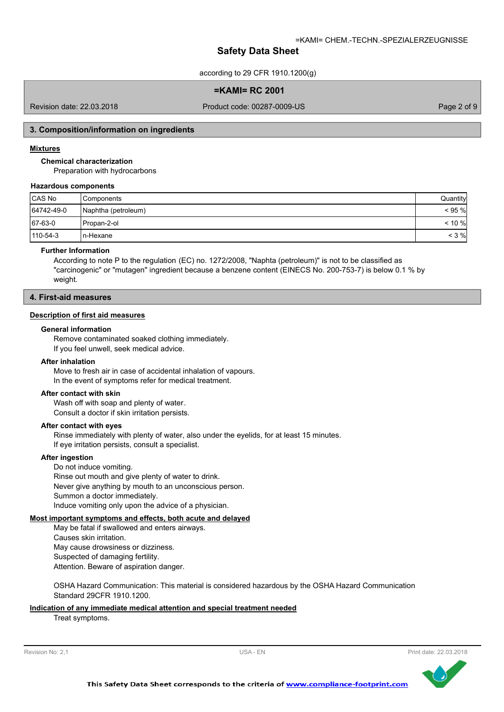according to 29 CFR 1910.1200(g)

**=KAMI= RC 2001**

Revision date: 22.03.2018

Product code: 00287-0009-US Page 2 of 9

#### **3. Composition/information on ingredients**

#### **Mixtures**

**Chemical characterization**

Preparation with hydrocarbons

# **Hazardous components**

| CAS No     | Components          | Quantity  |
|------------|---------------------|-----------|
| 64742-49-0 | Naphtha (petroleum) | < 95 %    |
| 67-63-0    | l Propan-2-ol       | $< 10 \%$ |
| 110-54-3   | In-Hexane           | $<$ 3 %   |

# **Further Information**

According to note P to the regulation (EC) no. 1272/2008, "Naphta (petroleum)" is not to be classified as "carcinogenic" or "mutagen" ingredient because a benzene content (EINECS No. 200-753-7) is below 0.1 % by weight.

# **4. First-aid measures**

#### **Description of first aid measures**

### **General information**

Remove contaminated soaked clothing immediately. If you feel unwell, seek medical advice.

# **After inhalation**

Move to fresh air in case of accidental inhalation of vapours. In the event of symptoms refer for medical treatment.

#### **After contact with skin**

Wash off with soap and plenty of water. Consult a doctor if skin irritation persists.

#### **After contact with eyes**

Rinse immediately with plenty of water, also under the eyelids, for at least 15 minutes. If eye irritation persists, consult a specialist.

#### **After ingestion**

Do not induce vomiting. Rinse out mouth and give plenty of water to drink. Never give anything by mouth to an unconscious person. Summon a doctor immediately. Induce vomiting only upon the advice of a physician.

#### **Most important symptoms and effects, both acute and delayed**

May be fatal if swallowed and enters airways. Causes skin irritation. May cause drowsiness or dizziness. Suspected of damaging fertility. Attention. Beware of aspiration danger.

OSHA Hazard Communication: This material is considered hazardous by the OSHA Hazard Communication Standard 29CFR 1910.1200.

### **Indication of any immediate medical attention and special treatment needed**

Treat symptoms.



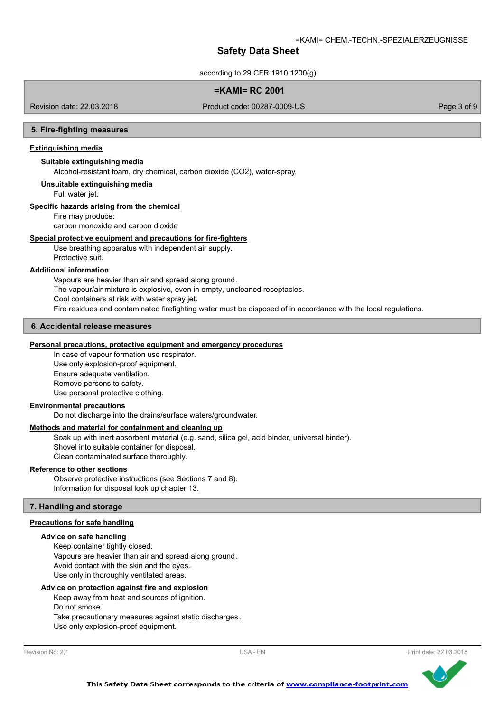according to 29 CFR 1910.1200(g)

# **=KAMI= RC 2001**

Revision date: 22.03.2018

Product code: 00287-0009-US Page 3 of 9

#### **5. Fire-fighting measures**

# **Extinguishing media**

# **Suitable extinguishing media**

Alcohol-resistant foam, dry chemical, carbon dioxide (CO2), water-spray.

#### **Unsuitable extinguishing media**

Full water jet.

#### **Specific hazards arising from the chemical**

Fire may produce:

carbon monoxide and carbon dioxide

# **Special protective equipment and precautions for fire-fighters**

Use breathing apparatus with independent air supply. Protective suit.

#### **Additional information**

Vapours are heavier than air and spread along ground. The vapour/air mixture is explosive, even in empty, uncleaned receptacles. Cool containers at risk with water spray jet. Fire residues and contaminated firefighting water must be disposed of in accordance with the local regulations.

# **6. Accidental release measures**

#### **Personal precautions, protective equipment and emergency procedures**

In case of vapour formation use respirator. Use only explosion-proof equipment. Ensure adequate ventilation. Remove persons to safety. Use personal protective clothing.

# **Environmental precautions**

Do not discharge into the drains/surface waters/groundwater.

# **Methods and material for containment and cleaning up**

Soak up with inert absorbent material (e.g. sand, silica gel, acid binder, universal binder). Shovel into suitable container for disposal. Clean contaminated surface thoroughly.

#### **Reference to other sections**

Observe protective instructions (see Sections 7 and 8). Information for disposal look up chapter 13.

# **7. Handling and storage**

### **Precautions for safe handling**

#### **Advice on safe handling**

Keep container tightly closed. Vapours are heavier than air and spread along ground. Avoid contact with the skin and the eyes. Use only in thoroughly ventilated areas.

#### **Advice on protection against fire and explosion**

Keep away from heat and sources of ignition. Do not smoke. Take precautionary measures against static discharges. Use only explosion-proof equipment.

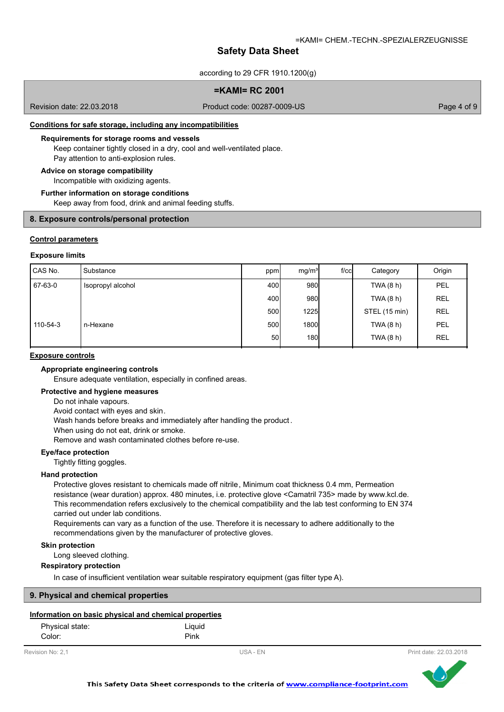according to 29 CFR 1910.1200(g)

# **=KAMI= RC 2001**

Revision date: 22.03.2018

Product code: 00287-0009-US Page 4 of 9

# **Conditions for safe storage, including any incompatibilities**

#### **Requirements for storage rooms and vessels**

Keep container tightly closed in a dry, cool and well-ventilated place. Pay attention to anti-explosion rules.

#### **Advice on storage compatibility**

Incompatible with oxidizing agents.

#### **Further information on storage conditions**

Keep away from food, drink and animal feeding stuffs.

#### **8. Exposure controls/personal protection**

#### **Control parameters**

#### **Exposure limits**

| CAS No.  | Substance         | ppm             | mg/m <sup>3</sup> | $f$ / $c$ $c$ | Category      | Origin     |
|----------|-------------------|-----------------|-------------------|---------------|---------------|------------|
| 67-63-0  | Isopropyl alcohol | 400             | 980               |               | TWA (8 h)     | PEL        |
|          |                   | 400l            | 980               |               | TWA (8 h)     | <b>REL</b> |
|          |                   | 500             | <b>1225</b>       |               | STEL (15 min) | <b>REL</b> |
| 110-54-3 | n-Hexane          | 500             | 1800              |               | TWA (8 h)     | PEL        |
|          |                   | 50 <sup>1</sup> | 180               |               | TWA (8 h)     | <b>REL</b> |

#### **Exposure controls**

# **Appropriate engineering controls**

Ensure adequate ventilation, especially in confined areas.

#### **Protective and hygiene measures**

Do not inhale vapours.

Avoid contact with eyes and skin.

Wash hands before breaks and immediately after handling the product .

When using do not eat, drink or smoke.

Remove and wash contaminated clothes before re-use.

# **Eye/face protection**

Tightly fitting goggles.

# **Hand protection**

Protective gloves resistant to chemicals made off nitrile, Minimum coat thickness 0.4 mm, Permeation resistance (wear duration) approx. 480 minutes, i.e. protective glove <Camatril 735> made by www.kcl.de. This recommendation refers exclusively to the chemical compatibility and the lab test conforming to EN 374 carried out under lab conditions.

Requirements can vary as a function of the use. Therefore it is necessary to adhere additionally to the recommendations given by the manufacturer of protective gloves.

### **Skin protection**

Long sleeved clothing.

# **Respiratory protection**

In case of insufficient ventilation wear suitable respiratory equipment (gas filter type A).

#### **9. Physical and chemical properties**

# **Information on basic physical and chemical properties**

| Physical state: | Liguid |
|-----------------|--------|
| Color:          | Pink   |



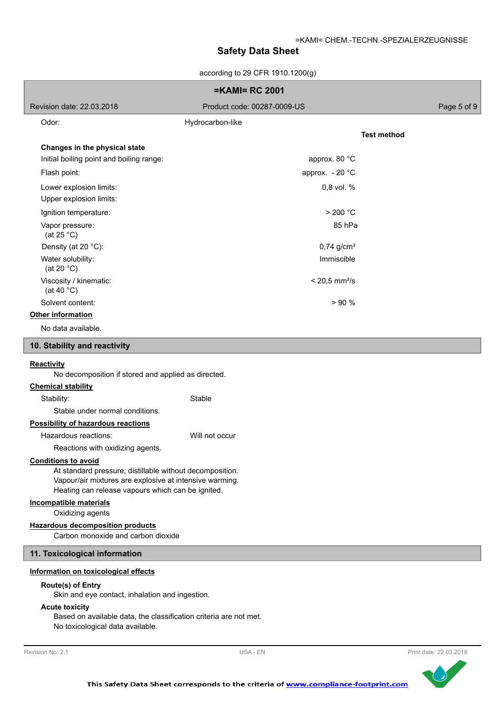according to 29 CFR 1910 1200 $(n)$ 

| according to ze CFR 1910.1200(g)                                                                                                                                                                       |                             |                    |  |
|--------------------------------------------------------------------------------------------------------------------------------------------------------------------------------------------------------|-----------------------------|--------------------|--|
|                                                                                                                                                                                                        | <b>=KAMI= RC 2001</b>       |                    |  |
| Revision date: 22.03.2018                                                                                                                                                                              | Product code: 00287-0009-US | Page 5 of 9        |  |
| Odor:                                                                                                                                                                                                  | Hydrocarbon-like            |                    |  |
|                                                                                                                                                                                                        |                             | <b>Test method</b> |  |
| Changes in the physical state                                                                                                                                                                          |                             |                    |  |
| Initial boiling point and boiling range:                                                                                                                                                               | approx. 80 °C               |                    |  |
| Flash point:                                                                                                                                                                                           | approx. - 20 °C             |                    |  |
| Lower explosion limits:                                                                                                                                                                                | 0,8 vol. %                  |                    |  |
| Upper explosion limits:                                                                                                                                                                                |                             |                    |  |
| Ignition temperature:                                                                                                                                                                                  | > 200 °C                    |                    |  |
| Vapor pressure:<br>(at $25^{\circ}$ C)                                                                                                                                                                 | 85 hPa                      |                    |  |
| Density (at 20 °C):                                                                                                                                                                                    | $0,74$ g/cm <sup>3</sup>    |                    |  |
| Water solubility:<br>(at 20 $°C$ )                                                                                                                                                                     | Immiscible                  |                    |  |
| Viscosity / kinematic:<br>(at 40 $^{\circ}$ C)                                                                                                                                                         | $< 20,5$ mm <sup>2</sup> /s |                    |  |
| Solvent content:                                                                                                                                                                                       | > 90%                       |                    |  |
| Other information                                                                                                                                                                                      |                             |                    |  |
| No data available.                                                                                                                                                                                     |                             |                    |  |
| 10. Stability and reactivity                                                                                                                                                                           |                             |                    |  |
| <b>Reactivity</b><br>No decomposition if stored and applied as directed.<br><b>Chemical stability</b>                                                                                                  |                             |                    |  |
| Stability:                                                                                                                                                                                             | Stable                      |                    |  |
| Stable under normal conditions.                                                                                                                                                                        |                             |                    |  |
| <b>Possibility of hazardous reactions</b>                                                                                                                                                              |                             |                    |  |
| Hazardous reactions:                                                                                                                                                                                   | Will not occur              |                    |  |
| Reactions with oxidizing agents.                                                                                                                                                                       |                             |                    |  |
| <b>Conditions to avoid</b><br>At standard pressure, distillable without decomposition.<br>Vapour/air mixtures are explosive at intensive warming.<br>Heating can release vapours which can be ignited. |                             |                    |  |
| <b>Incompatible materials</b><br>Oxidizing agents                                                                                                                                                      |                             |                    |  |
| <b>Hazardous decomposition products</b><br>Carbon monoxide and carbon dioxide                                                                                                                          |                             |                    |  |
| 11. Toxicological information                                                                                                                                                                          |                             |                    |  |
| Information on toxicological effects                                                                                                                                                                   |                             |                    |  |
| <b>Route(s) of Entry</b><br>Skin and eye contact, inhalation and ingestion.                                                                                                                            |                             |                    |  |
| <b>Acute toxicity</b><br>Based on available data, the classification criteria are not met.<br>No toxicological data available.                                                                         |                             |                    |  |

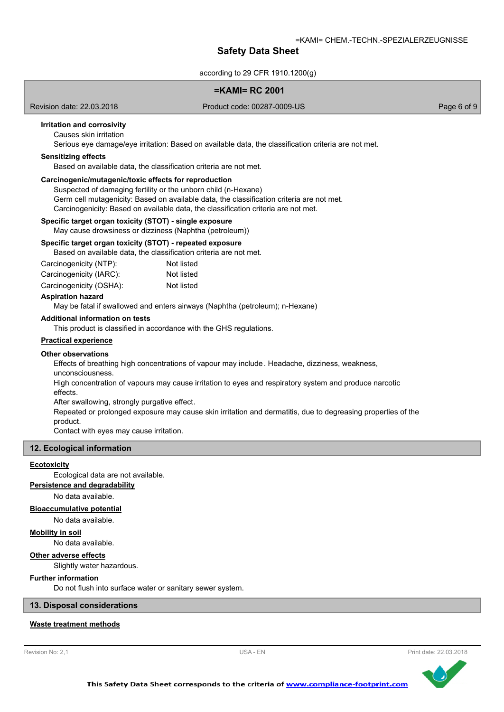according to 29 CFR 1910.1200(g)

# **=KAMI= RC 2001**

Revision date: 22.03.2018

Product code: 00287-0009-US Page 6 of 9

# **Irritation and corrosivity**

Causes skin irritation

Serious eye damage/eye irritation: Based on available data, the classification criteria are not met.

#### **Sensitizing effects**

Based on available data, the classification criteria are not met.

### **Carcinogenic/mutagenic/toxic effects for reproduction**

Suspected of damaging fertility or the unborn child (n-Hexane) Germ cell mutagenicity: Based on available data, the classification criteria are not met. Carcinogenicity: Based on available data, the classification criteria are not met.

#### **Specific target organ toxicity (STOT) - single exposure**

May cause drowsiness or dizziness (Naphtha (petroleum))

# **Specific target organ toxicity (STOT) - repeated exposure**

Based on available data, the classification criteria are not met.

| Carcinogenicity (NTP):  | Not listed |
|-------------------------|------------|
| Carcinogenicity (IARC): | Not listed |
| Carcinogenicity (OSHA): | Not listed |

#### **Aspiration hazard**

May be fatal if swallowed and enters airways (Naphtha (petroleum); n-Hexane)

#### **Additional information on tests**

This product is classified in accordance with the GHS regulations.

# **Practical experience**

#### **Other observations**

Effects of breathing high concentrations of vapour may include. Headache, dizziness, weakness, unconsciousness.

High concentration of vapours may cause irritation to eyes and respiratory system and produce narcotic effects.

After swallowing, strongly purgative effect.

Repeated or prolonged exposure may cause skin irritation and dermatitis, due to degreasing properties of the product.

Contact with eyes may cause irritation.

#### **12. Ecological information**

#### **Ecotoxicity**

Ecological data are not available.

**Persistence and degradability**

No data available.

#### **Bioaccumulative potential**

No data available.

#### **Mobility in soil**

No data available.

# **Other adverse effects**

Slightly water hazardous.

### **Further information**

Do not flush into surface water or sanitary sewer system.

**13. Disposal considerations**

# **Waste treatment methods**



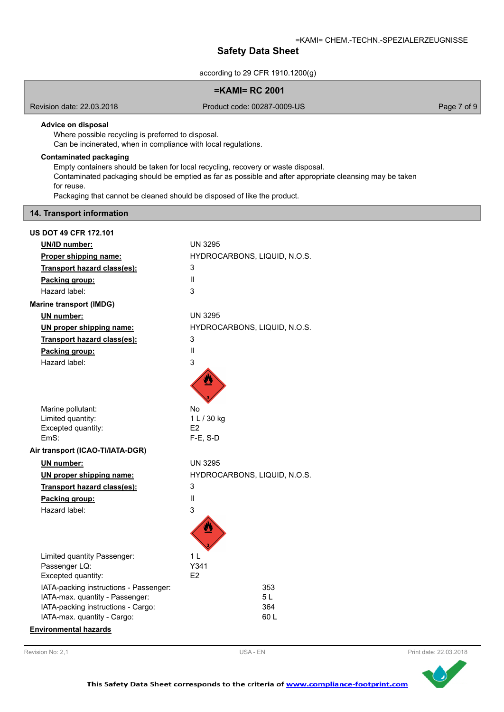according to 29 CFR 1910.1200(g)

# **=KAMI= RC 2001**

Revision date: 22.03.2018

Product code: 00287-0009-US Product code: 00287-0009-US

# **Advice on disposal**

Where possible recycling is preferred to disposal.

Can be incinerated, when in compliance with local regulations.

# **Contaminated packaging**

Empty containers should be taken for local recycling, recovery or waste disposal.

Contaminated packaging should be emptied as far as possible and after appropriate cleansing may be taken for reuse.

Packaging that cannot be cleaned should be disposed of like the product.

# **14. Transport information**

| <b>US DOT 49 CFR 172.101</b>                                          |                              |
|-----------------------------------------------------------------------|------------------------------|
| <b>UN/ID number:</b>                                                  | <b>UN 3295</b>               |
| Proper shipping name:                                                 | HYDROCARBONS, LIQUID, N.O.S. |
| Transport hazard class(es):                                           | 3                            |
| Packing group:                                                        | $\mathbf{I}$                 |
| Hazard label:                                                         | 3                            |
| <b>Marine transport (IMDG)</b>                                        |                              |
| UN number:                                                            | <b>UN 3295</b>               |
| UN proper shipping name:                                              | HYDROCARBONS, LIQUID, N.O.S. |
| Transport hazard class(es):                                           | 3                            |
| Packing group:                                                        | Ш                            |
| Hazard label:                                                         | 3                            |
|                                                                       |                              |
| Marine pollutant:<br>Limited quantity:                                | No<br>1 L / 30 kg            |
| Excepted quantity:                                                    | E <sub>2</sub>               |
| FmS:                                                                  | $F-E$ , S-D                  |
| Air transport (ICAO-TI/IATA-DGR)                                      |                              |
| UN number:                                                            | <b>UN 3295</b>               |
| UN proper shipping name:                                              | HYDROCARBONS, LIQUID, N.O.S. |
| Transport hazard class(es):                                           | 3                            |
| Packing group:                                                        | $\mathsf{II}$                |
| Hazard label:                                                         | 3                            |
|                                                                       |                              |
| Limited quantity Passenger:                                           | 1 L                          |
| Passenger LQ:                                                         | Y341                         |
| Excepted quantity:                                                    | E2                           |
| IATA-packing instructions - Passenger:                                | 353                          |
| IATA-max. quantity - Passenger:<br>IATA-packing instructions - Cargo: | 5 L<br>364                   |
| IATA-max. quantity - Cargo:                                           | 60 L                         |
| <b>Environmental hazards</b>                                          |                              |
|                                                                       |                              |

Revision No: 2,1 **EXECUTE:** Print date: 22.03.2018

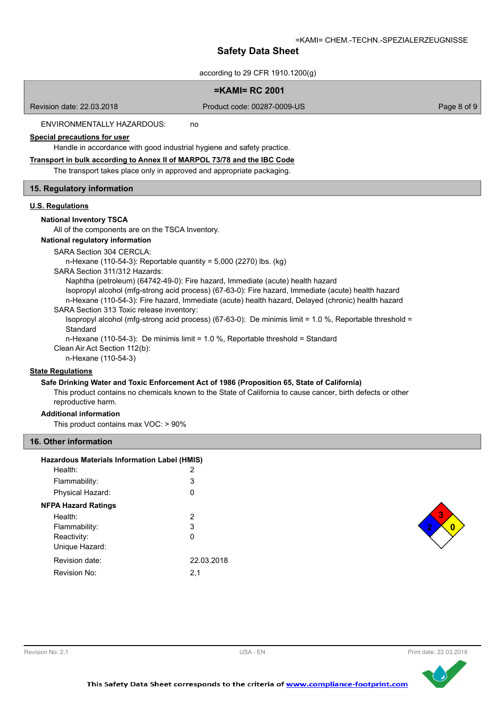according to 29 CFR 1910 1200(g)

| accolulity to 29 CFR 1910.1200(G)                                                                                                                                                                                                                                                                                                                                                                                                                                                                                                                                                                                                                                                                                                                                                                                                                                                                                             |             |
|-------------------------------------------------------------------------------------------------------------------------------------------------------------------------------------------------------------------------------------------------------------------------------------------------------------------------------------------------------------------------------------------------------------------------------------------------------------------------------------------------------------------------------------------------------------------------------------------------------------------------------------------------------------------------------------------------------------------------------------------------------------------------------------------------------------------------------------------------------------------------------------------------------------------------------|-------------|
| $=$ KAMI $=$ RC 2001                                                                                                                                                                                                                                                                                                                                                                                                                                                                                                                                                                                                                                                                                                                                                                                                                                                                                                          |             |
| Product code: 00287-0009-US<br>Revision date: 22.03.2018                                                                                                                                                                                                                                                                                                                                                                                                                                                                                                                                                                                                                                                                                                                                                                                                                                                                      | Page 8 of 9 |
| ENVIRONMENTALLY HAZARDOUS:<br>no                                                                                                                                                                                                                                                                                                                                                                                                                                                                                                                                                                                                                                                                                                                                                                                                                                                                                              |             |
| <b>Special precautions for user</b><br>Handle in accordance with good industrial hygiene and safety practice.                                                                                                                                                                                                                                                                                                                                                                                                                                                                                                                                                                                                                                                                                                                                                                                                                 |             |
| Transport in bulk according to Annex II of MARPOL 73/78 and the IBC Code<br>The transport takes place only in approved and appropriate packaging.                                                                                                                                                                                                                                                                                                                                                                                                                                                                                                                                                                                                                                                                                                                                                                             |             |
| 15. Regulatory information                                                                                                                                                                                                                                                                                                                                                                                                                                                                                                                                                                                                                                                                                                                                                                                                                                                                                                    |             |
| <b>U.S. Regulations</b><br><b>National Inventory TSCA</b><br>All of the components are on the TSCA Inventory.<br>National regulatory information<br>SARA Section 304 CERCLA:<br>n-Hexane (110-54-3): Reportable quantity = $5,000$ (2270) lbs. (kg)<br>SARA Section 311/312 Hazards:<br>Naphtha (petroleum) (64742-49-0): Fire hazard, Immediate (acute) health hazard<br>Isopropyl alcohol (mfg-strong acid process) (67-63-0): Fire hazard, Immediate (acute) health hazard<br>n-Hexane (110-54-3): Fire hazard, Immediate (acute) health hazard, Delayed (chronic) health hazard<br>SARA Section 313 Toxic release inventory:<br>Isopropyl alcohol (mfg-strong acid process) (67-63-0): De minimis limit = 1.0 %, Reportable threshold =<br>Standard<br>n-Hexane (110-54-3): De minimis limit = 1.0 %, Reportable threshold = Standard<br>Clean Air Act Section 112(b):<br>n-Hexane (110-54-3)<br><b>State Regulations</b> |             |

# **Safe Drinking Water and Toxic Enforcement Act of 1986 (Proposition 65, State of California)**

This product contains no chemicals known to the State of California to cause cancer, birth defects or other reproductive harm.

# **Additional information**

This product contains max VOC: > 90%

# **16. Other information**

| <b>Hazardous Materials Information Label (HMIS)</b> |            |
|-----------------------------------------------------|------------|
| Health:                                             | 2          |
| Flammability:                                       | 3          |
| Physical Hazard:                                    | 0          |
| <b>NFPA Hazard Ratings</b>                          |            |
| Health:                                             | 2          |
| Flammability:                                       | 3          |
| Reactivity:                                         | ი          |
| Unique Hazard:                                      |            |
| Revision date:                                      | 22.03.2018 |
| Revision No:                                        | 2,1        |
|                                                     |            |